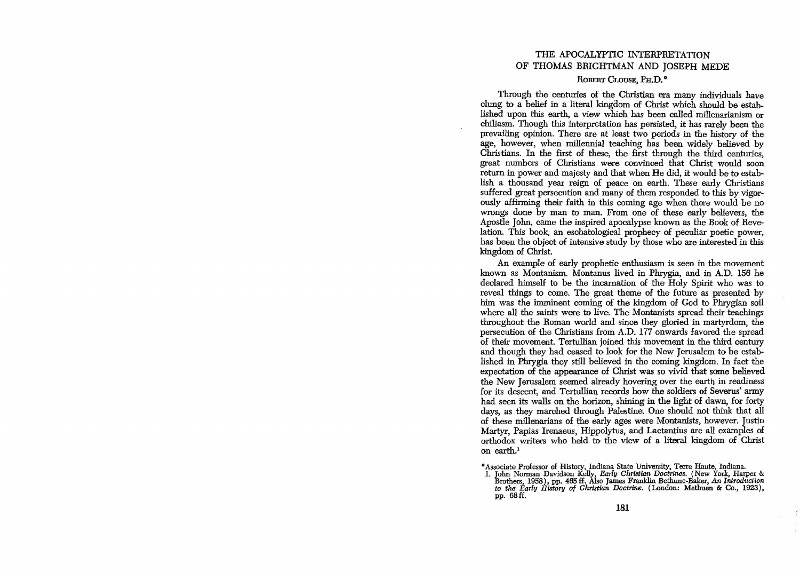## THE APOCALYPTIC INTERPRETATION OF THOMAS BRIGHTMAN AND JOSEPH MEDE

## ROBERT CLOUSE, PH.D.<sup>\*</sup>

Through the centuries of the Christian era many individuals have clung to a belief in a literal kingdom of Christ which should be established upon this earth, a view which has been. called millenarianism or chiliasm. Though this interpretation has persisted, it has rarely been the prevailing opinion. There are at least two periods in the history of the age, however, when millennial teaching has been widely believed by Christians. In the first of these, the first through the third centuries, great numbers of Christians were convinced that Christ would soon return in power and majesty and that when He did, it would be to establish a thousand year reign of peace on earth. These early Christians suffered great persecution and many of them responded to this by vigorously affirming their faith in this coming age when. there would be no wrongs done by man to man. From one of these early believers, the Apostle John, came the inspired apocalypse known as the Book of Revelation. This book, an eschatological prophecy of peculiar poetic power, has been the object of intensive study by those who are interested in this kingdom of Christ.

An example of early prophetic enthusiasm is seen in the movement known as Montanism. Montanus lived in Phrygia, and in A.D. 156 he declared himself to be the incarnation of the Holy Spirit who was to reveal things to come. The great theme of the future as presented by him was the imminent coming of the kingdom of God to Phrygian soil where all the saints were to live. The Montanists spread their teachings throughout the Roman world and since they gloried in martyrdom, the persecution of the Christians from A.D. 177 onwards favored the spread of their movement. Tertullian joined this movement in the third century and though they had ceased to look for the New Jerusalem to be established in Phrygia they still believed in the coming kingdom. In fact the expectation. of the appearance of Christ was so vivid that some believed the New Jerusalem seemed already hovering over the earth in readiness for its descent, and Tertullian records how the soldiers of Severus' army had seen its walls on the horizon, shining in the light of dawn, for forty days, as they marched through Palestine. One should not think that all of these millenarians of the early ages were Montanists, however. Justin Martyr, Papias Irenaeus, Hippolytus, and Lactantius are all examples of orthodox writers who held to the view of a literal kingdom of Christ on earth.1

Associate Professor of History, Indiana State University, Terre Haute, Indiana.<br>1. John Norman Davidson Kelly, *Early Christian Doctrines*. (New York, Harper &<br>Brothers, 1958), pp. 465 ff. Also James Franklin Bethune-Baker pp. 68ff.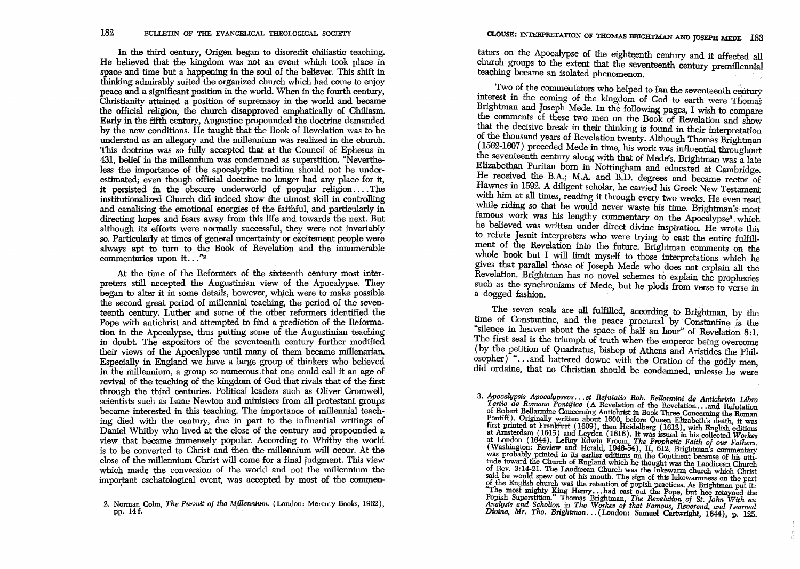In the third century, Origen began to discredit chiliastic teaching. He believed that the kingdom was not an event which took place in space and time but a happening in the soul of the believer. This shift in thinking admirably suited the organized church which had come to enjoy peace and a significant position in the world. When in the fourth century, Christianity attained a position of supremacy in the world and became the official religion, the church disapproved emphatically of Chiliasm. Early in the fifth century, Augustine propounded the doctrine demanded by the new conditions. He taught that the Book of Revelation was to be understod as an allegory and the millennium was realized in the church. This doctrine was so fully accepted that at the Council of Ephesus in 431, belief in the millennium was condemned as superstition. "Nevertheless the importance of the apocalyptic tradition should not be underestimated; even though official doctrine no longer had any place for it, it persisted in the obscure underworld of popular religion.... The institutionalized Church did indeed show the utmost skill in controlling and canalising the emotional energies of the faithful, and particularly in directing hopes and fears away from this life and towards the next. But although its efforts were normally successful, they were not invariably so. Particularly at times of general uncertainty or excitement people were always apt to turn to the Book of Revelation and the innumerable commentaries upon it..."<sup>2</sup>

At the time of the Reformers of the sixteenth century most interpreters still accepted the Augustinian view of the Apocalypse. They began to alter it in some details, however, which were to make possible the second great period of millennial teaching, the period of the seventeenth century. Luther and some of the other reformers identified the Pope with antichrist and attempted to find a prediction of the Reformation in the Apocalypse, thus putting some of the Augustinian teaching in doubt. The expositors of the seventeenth century further modified their views of the Apocalypse until many of them became millenarian. Especially in England we have a large group of thinkers who believed in the millennium, a group so numerous that one could call it an age of revival of the teaching of the kingdom of God that rivals that of the first through the third centuries. Political leaders such as Oliver Cromwell, scientists such as Isaac Newton and ministers from all protestant groups became interested in this teaching. The importance of millennial teaching died with the century, due in part to the influential writings of Daniel Whitby who lived at the close of the century and propounded a view that became immensely popular. According to Whitby the world is to be converted to Christ and then the millennium will occur. At the close of the millennium Christ will come for a final judgment. This view which made the conversion of the world and not the millennium the important eschatological event, was accepted by most of the commentators on the Apocalypse of the eighteenth century and it affected all church groups to the extent that the seventeenth century premillennial teaching became an isolated phenomenon.

Two of the commentators who helped to fan the seventeenth century interest in the coming of the kingdom of God to earth were Thomas Brightman and Joseph Mede. In the following pages, I wish to compare the comments of these two men on the Book of Revelation and show that the decisive break in their thinking is found in their interpretation of the thousand years of Revelation twenty. Although Thomas Brightman (1562-1607) preceded Mede in time, his work was influential throughout the seventeenth century along with that of Mede's. Brightman was a late Elizabethan Puritan born in Nottingham and educated at Cambridge. He received the B.A.; M.A. and B.D. degrees and became rector of Hawnes in 1592. A diligent scholar, he carried his Greek New Testament with him at all times, reading it through every two weeks. He even read while riding so that he would never waste his time. Brightman's most famous work was his lengthy commentary on the Apocalypse<sup>3</sup> which he believed was written under direct divine inspiration. He wrote this to refute Jesuit interpreters who were trying to cast the entire fulfillment of the Revelation into the future. Brightman comments on the whole book but I will limit myself to those interpretations which he gives that parallel those of Joseph Mede who does not explain all the Revelation. Brightman has no novel schemes to explain the prophecies such as the synchronisms of Mede, but he plods from verse to verse in a dogged fashion.

The seven seals are all fulfilled, according to Brightman, by the time of Constantine, and the peace procured by Constantine is the "silence in heaven about the space of half an hour" of Revelation 8.1. The first seal is the triumph of truth when the emperor being overcome (by the petition of Quadratus, bishop of Athens and Aristides the Philosopher)<sup>\*</sup>...and battered downe with the Oration of the godly men, did ordame, that no Christian should be condemned, unlesse he were

<sup>2.</sup> Norman Cohn, *The Pursuit of the Millennium.* (London: Mercury Books, 1962), pp. 14f.

<sup>3.</sup> *Apocalypsis Apocalypseos*...et Refutatio Rob. Bellarmini de Antichristo Libro *Tertio de Romano Pontifice* (A Revelation of the Revelation... and Refutation of Delayers of Delayers of Delayers of Delayers of Delayers o of Robert Bellarmine Concerning Antichrist in Book Three Concerning the Roman<br>Pontiff). Originally written about 1600, before Queen Elizabeth's death, it was<br>first printed at Frankfurt (1609), then Heidelberg (1612), with at Amsterdam (1615) and Leyden (1616). It was issued in his collected Workes at London (1644). LeRoy Edwin Froom, The Prophetic Faith of our Fathers. (Washington: Review and Herald, 1946-54), II, 612. Brightman's commentar of. Rev. 3:14-21. The Laoclicean Church was the lukewarm church which Christ said he would spew out of his mouth. The sign of this lukewarmness on the part of the English church was the retention of popish practices. As Brightman put it:<br>"The most mighty King Henry...had cast out the Pope, but hee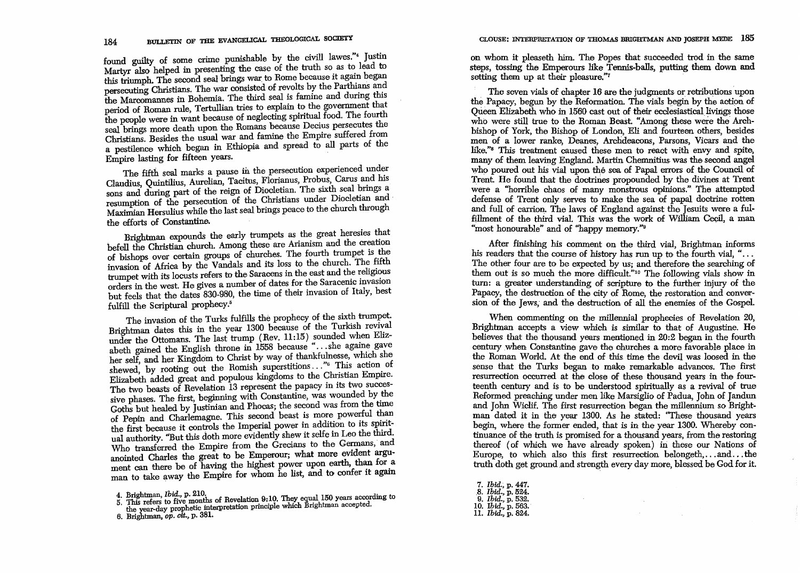found guilty of some crime punishable by the civill lawes."4 Justin Martyr also helped in presenting the case of the truth so as to lead to this triumph. The second seal brings war to Rome because it again began persecuting Christians. The war consisted of revolts by the Parthians and the Marcomannes in Bohemia. The third seal is famine and during this period of Roman rule, Tertullian tries to explain to the government that the people were in want because of neglecting spiritual food. The fourth seal brings more death upon the Romans because Decius persecutes the Christians. Besides the usual war and famine the Empire suffered from a pestilence which began in Ethiopia and spread to all parts of the Empire lasting for fifteen years.

The fifth seal marks a pause in the persecution experienced under Claudius, Quintilius, Aurelian, Tacitus, Florianus, Probus, Carus and his sons and during part of the reign of Diocletian. The sixth seal brings a resumption of the persecution of the Christians under Diocletian and Maximian Hersulius while the last seal brings peace to the church through the effarts of Constantine.

Brightman expounds the early trumpets as the great heresies that befell the Christian church. Among these are Arianism and the creation of bishops over certain groups of churches. The fourth trumpet is the invasion of Africa by the Vandals and its loss to the church. The fifth trumpet with its locusts refers to the Saracens in the east and the religious orders in the west. He gives a number of dates for the Saracenic invasion but feels that the dates 830-980, the time af their invasion of Italy, best fulfill the Scriptural prophecy.<sup>5</sup>

The invasion of the Turks fulfills the prophecy of the sixth trumpet. Brightman dates this in the year 1300 because of the Turkish revival under the Ottomans. The last trump (Rev. 11:15) sounded when Elizabeth gained the English throne in 1558 because "...she againe gave her self, and her Kingdom to Christ by way of thankfulnesse, which she shewed, by rooting out the Romish superstitions ... "<sup>6</sup> This action of Elizabeth added great and populous kingdoms to the Christian Empire. The two beasts of Revelation 13 represent the papacy in its two successive phases. The first, beginning with Constantine, was wounded by the Goths but healed by Justinian and Phocas; the second was from the time of Pepin and Charlemagne. This second beast is more powerful than the first because it controls the Imperial power in addition to its spiritual authority. "But this dath more evidently shew it selfe m Leo the third. Who transferred the Empire from the Grecians to the Germans, and anointed Charles the great to be Emperour; what more evident argument can there be of having the highest power upon earth, than for a man to take away the Empire for whom he list, and to confer it again

on whom it pleaseth him. The Popes that succeeded trod in the same steps, tossing the Emperours like Tennis-balls, putting them down and setting them up at their pleasure."7

The seven vials of chapter 16 are the judgments or retributions upon the Papacy, begun by the Reformation. The vials begin by the action of Queen Elizabeth who in 1560 cast out of their ecclesiastical livings those who were still true to the Roman Beast. "Among these were the Archbishop of York, the Bishop of London, Eli and fourteen others, besides men of a lower ranke, Deanes, Archdeacons, Parsons, Vicars and the like."<sup>8</sup> This treatment caused these men to react with envy and spite, many of them leaving England. Martin Chemnitius, was the second angel who poured out his vial upon the sea of Papal errors of the Council of Trent. He found that the doctrines propounded by the divines at Trent were a "horrible chaos of many monstrous opinions." The attempted defense of Trent only serves to make the sea of papal doctrine rotten and full of carrion. The laws of England against the Jesuits were a fulfillment of the third vial. This was the work of William Cecil, a man "most honourable" and of "happy memory."<sup>9</sup>

After finishing his comment on the third vial, Brightman informs his readers that the course of history has run up to the fourth vial, " $\dots$ The other four are to be expected by us; and therefore the searching of them out is so much the more difficult."<sup>10</sup> The following vials show in turn: a greater understanding of scripture to the further injury of the Papacy, the destruction of the city of Rome, the restoration and conversion of the Jews, and the destruction of all the enemies of the Gospel.

When commenting on the millennial prophecies of Revelation 20, Brightman accepts a view which is similar to that of Augustine. He believes that the thousand years mentioned in 20:2 began in the fourth century when Constantine gave the churches a more favorable place in the Roman World. At the end of this time the devil was loosed in the sense that the Turks began to make remarkable advances. The first resurrection occurred at the close of these thousand years in the fourteenth century and is to be understood spiritually as a revival of true Reformed preaching under men like Marsiglio of Padua, John of Jandun and John Wiclif. The first resurrection began the millennium so Brightman dated it in the year 1300. As he stated: ''These thousand years begin, where the former ended, that is in the year 1300. Whereby continuance of the truth is promised for a thousand years, from the restoring thereof (of which we have already spoken) in these our Nations of Europe, to which also this first resurrection belongeth, ... and ... the truth doth get ground .and strength every day more, blessed be God for it.

 $\sim 10^{-1}$ 

- *7. Ibid.;* p. 447 . . 8. *Ibid.,* p. 524. 9. *Ibid.,* p. 532. 10. *Ibid.,* p. 563. *11. Ibid.,* p. 824.
- 

<sup>4.</sup> Brightman, *Ibid.*, p. 210. The all ISO years according to 5. This refers to five months of Revelation 9:10. They equal 150 years according to the year-day prophetic interpretation principle which Brightman accepted.

<sup>6.</sup> Brightman, op. *cit.,* p. 381.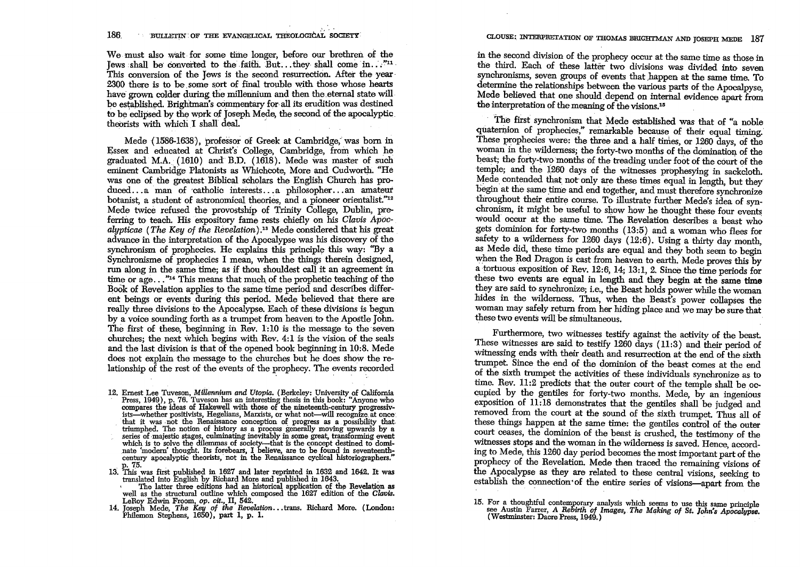We must also wait for some time longer, before our brethren of the Jews shall be converted to the faith. But ... they shall come in  $\ldots$ <sup>"11</sup> This conversion of the Jews is the second resurrection. After the year 2300 there is to be some sort of final trouble with those whose hearts have grown colder during the millennium and then the eternal state will be established. Brightman's commentary for all its erudition was destined to be eclipsed by the wprk of Joseph Mede, the second of the apocalyptic theorists with which I shall deal.

Mede (1586-1638), professor of Greek at Cambridge, was born in Essex and educated at Christ's' CoUege, Cambridge, from which he graduated M.A. (1610) and B.D. (1618). Mede was master of such was one of the greatest Biblical scholars the English Church has produced ... a man of catholic interests ... a philosopher ... an amateur botanist, a student of astronomical theories, and a pioneer orientalist."<sup>12</sup> Mede twice refused the provostship of Trinity College, Dublin, preferring to teach. His expository fame rests chiefly on his *Clavis Apocalypticae (The Key* of *the Rimelation).18* Mede considered that his great advance in the interpretation of the Apocalypse was his discovery of the synchronism of prophecies. He explains this principle this way: "By a Synchronisme of prophecies I mean, when the things therein designed, run along in the same time; as if thou shouldest call it an agreement :in time or age..."<sup>14</sup> This means that much of the prophetic teaching of the Book of Revelation applies to the same time period and describes different beings or events during this period. Mede believed that there are really three divisions to the Apocalypse. Each of these divisions is begun by a voice sounding forth as a trumpet from heaven to the Apostle John. The first of these, beginning in Rev. 1:10 is the message to the seven churches; the next which begins with Rev.  $4:1$  is the vision of the seals and the last division is that of the opened book beginning in 10:8. Mede does not explain the message to the churches but he does show the relationship of the rest of the events of the prophecy. The events recorded

12. Ernest Lee Tuveson, *Millennium and Utopia*. (Berkeley: University of California Press, 1949), p. 76. Tuveson has an interesting thesis in this book: "Anyone who compares the ideas of Hakewell with those of the ninetee ists—whether positivists, Hegelians, Marxists, or what not—will recognize at once that it was not the Renaissance conception of progress as a possibility that triumphed. The notion of history as a process generally moving upwards by a series of majestic stages, culminating inevitably in some great, transforming event which is to solve the dilemmas of society—that is the concept century apocalyptic theorists, not in the Renaissance cyclical historiographers."

- 13. This was first published in 1627 and later reprinted in 1632 and 1642. It was<br>translated into English by Richard More and published in 1643. It was<br>ranslated into English by Richard More and published in 1643.<br>The latt
	- LeRoy Edwin Froom, *op. cit.,* II, 542.
- 14. Joseph Mede, *The Key of the Revelation...* trans. Richard More. (London: Philemon Stephens, 1650), part 1, p. 1.

## CLOUSE:. INTEBPRETATlON OF THOMAS BRIGHTMAN AND JOSEPH MEDE 187

in the second division of the prophecy occur at the same time as those in the third. Each of these latter two divisions was divided into seven synchronisms, seven groups of events that happen at the same time. To determine the relationships between the various parts of the Apocalpyse. Mede believed that one should. depend on internal evidence apart from the interpretation of the meaning of the visions.<sup>15</sup>

The first synchronism that Mede established was that of "a noble quaternion of prophecies," remarkable because of their equal timing. These prophecies were: the three and a half times, or 1260 days, of the woman in the wilderness; the forty-two months of the domination of the beast; the forty-two months of the treading under foot of the court of the temple; and the 1260 days of the witnesses prophesying in sackcloth. Mede contended that not only are these times equal in length, but they begin at the same time and end together, and must therefore synchronize throughout their entire course. To illustrate further Mede's idea of synchronism, it might be useful to show how he thought these four events would occur at the same time. The Revelation describes a beast who gets dominion for forty-two months (13:5) and a woman who flees for safety to a wilderness for 1260 days (12:6). Using a thirty day month, as Mede did, these time periods are equal and they both seem to begin when the Red Dragon is cast from heaven to earth. Mede proves this by a tortuous exposition of Rev. 12:6, 14; 13:1,2. Since the time periods for these two events are equal in length and they begin at the same time they are said to synchronize; i.e., the Beast holds power while the woman hides in the wilderness. Thus, when the Beast's power collapses the woman may safely return from her hiding place and we may be sure that these two events will be simultaneous.

Furthennore, two witnesses testify against the activity of the beast. These witnesses are said to testify 1260 days (11:3) and their period of witnessing ends with their death and resurrection at the end of the sixth trumpet. Since the end of the dominion of the beast comes at the end of the sixth trumpet the activities of these individuals synchronize as to time. Rev. 11:2 predicts that the outer court of the temple shall be occupied by the gentiles for forty-two months. Mede, by an ingenious exposition of 11:18 demonstrates that the gentiles shall be judged and removed from the court at the sound of the sixth trumpet. Thus all of these things happen at the same time: the gentiles control of the outer court ceases, the dominion of the beast is crushed, the testimony of the witnesses stops and the woman in the wilderness is saved. Hence, according to Mede, this 1260 day period becomes the most important part of the prophecy of the Revelation. Mede then traced the remaining visions of the Apocalypse as they are related to these central visions, seeking to establish the connection of the entire series of visions-apart from the

<sup>15.</sup> For a thoughtful contemporary analysis which seems to use this same principle see Austin Farrer, A *Rebirth of Images, The Making of St. lohn's Apocalypse.* ( Westminster: Dacre Press, 1949.) .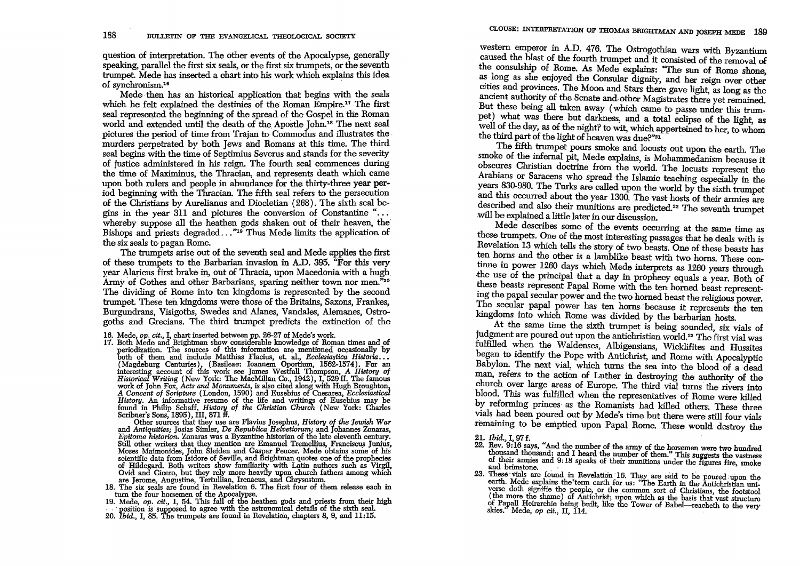question of interpretation. The other events of the Apocalypse, generally speaking, parallel the first six seals, or the first six trumpets, or the seventh trumpet. Mede has inserted a chart into his work which explains this idea of synchronism.16

Mede· then has an historical application that begins with the seals which he felt explained the destinies of the Roman  $\mathrm{Emoire}^{17}$  The first seal represented the beginning of the spread of the Gospel in the Roman world and extended until the death of the Apostle John.<sup>18</sup> The next seal pictures the period of time from Trajan to Commodus and illustrates the murders perpetrated by both Jews and Romans at this time. The third seal begins with the time of Septimius Severus and stands for the severity of justice administered in his reign. The fourth seal commences during the time of Maximinus, the Thracian, and represents death which came upon both rulers and people in abundance for the thirty-three year period beginning with the Thracian. The fifth seal refers to the persecution of the Christians by Aurelianus and Diocletian (268). The sixth seal begins in the year  $311$  and pictures the conversion of Constantine "... whereby suppose all the heathen gods shaken out of their heaven, the Bishops and priests degraded..."<sup>19</sup> Thus Mede limits the application of the six seals to pagan Rome.

The trumpets arise out of the seventh seal and Mede applies the first of these trumpets to the Barbarian invasion in A.D. 395. "For this very year Alaricus first brake in, out of Thracia, upon Macedonia with a hugh Army of Gothes and other Barbarians, sparing neither town nor men.<sup>320</sup> The dividing of Rome into ten kingdoms is represented by the second trumpet. These ten kingdoms were those of the Britains, Saxons, Frankes, Burgundrans, Visigoths, Swedes and Alanes, Vandales, Alemanes, Ostragoths and Grecians. The third trumpet predicts the extinction of the

- 
- 16. Mede, *op. cit.*, I, chart inserted between pp. 26-27 of Mede's work. 17. Both Mede and Brightman show considerable knowledge of Roman times and of periodization. The sources of this information are mentioned occasionally by both of them and include Matthias Flacius, et. al., *Ecclesiastica Historia...* both of them and include Matthias Flacius, et. al., *Ecclesiastica Historia*...<br>
(Magdeburg Centuries), (Basileae: Ioannem Oportium, 1562-1574). For an<br>
interesting account of this work see James Westfall Thompson, A Histo

Other sources that they use are Flavius Josephus, *History of the Jewish War*  and *Antiquities'* Josias Simler, *De Republica Helvetiorum;* and Johannes Zonaras, Still other writers that they mention are Emanuel Tremellius, Franciscus Junius, Moses Maimonides, John Sleiden and Gaspar Peucer. Mede obtains some of his scientific data from Isidore of Seville, and Brightman quotes one of the prophecies of Hildegard. Both writers show familiarity with Latin authors such as Virgil,<br>Ovid and Cicero, but they rely more heavily upon church fathers among which<br>are Jerome, Augustine, Tertullian, Irenaeus, and Chrysostom.<br>18. Th

- 
- 19. Mede, *op. cit.*, I, 54. This fall of the heathen gods and priests from their high position is supposed to agree with the astronomical details of the sixth seal.
- <sup>20.</sup> *20. Ibid., I, 85. The trumpets are found in Revelation, chapters 8, 9, and 11:15.*

western emperor in A.D. 476. The Ostrogothian wars with Byzantium caused the blast of the fourth trumpet and it consisted of the removal of the consulship of Rome. As Mede explains: "The sun of Rome shone, as long as she enjoyed the Consular dignity, and her reign over other cities and provinces. The Moon and Stars there gave light, as long as the ancient authority of the Senate and, other Magistrates there yet remained. But these being all taken away (which came to passe under this trumpet) what was there but darkness, and a total eclipse of the light, as well of the day, as of the night? to wit, which apperteined to her, to whom the third part of the light of heaven was due?"21

The fifth trumpet pours smoke and locusts out upon the earth. The smoke of the infernal pit, Mede explains, is Mohammedanism because it obscures Christian doctrine from the world. The locusts represent the Arabians or Saracens who spread the Islamic teaching especially in the years 830-980. The Turks are called upon the world by the sixth trumpet and this occurred about the year 1300. The vast hosts of their armies are described and also their munitions are predicted.22 The seventh trumpet will be explained a little later in our discussion.

Mede describes some of the events occurring at the same time as these trumpets. One of the most interesting passages that he deals with is Revelation 13 which tells the story of two beasts. One of these beasts has ten horns and the other is a lamblike beast with two horns. These continue in power 1260 days which Mede interprets as 1260 years through the use of the principal that a day in prophecy equals a year. Both of these beasts represent Papal Rome with the ten horned beast representing the papal secular power and the two horned beast the religious power. The secular papal power has ten horns because it represents the ten kingdoms into which Rome was divided by the barbarian hosts.

At the same time the sixth trumpet is being sounded, six vials of judgment are poured out upon the antichristian world.<sup>23</sup> The first vial was fulfilled when the Waldenses, Albigensians, Wicklifites and Hussites began to identify the Pope with Antichrist, and Rome with Apocalyptic Babylon. The next vial, which turns the sea into the blood of a dead man, refers to the action of Luther in destroying the authority of the church over large areas of Europe. The third vial turns the rivers into blood. This was fulfilled when the representatives of Rome were killed by reforming princes as the Romanists had killed others. These three vials had been poured out by Mede's time but there were still four vials remaining to be emptied upon Papal Rome. These would destroy the

*21. Ibid.,* I, 97 f.

- 22. Hev. 9:16 says, "And the number of the army of the horsemen were two hundred thousand thousand: and I heard the number of them." This suggests the vastness of their armies and  $9:18$  speaks of their munitions under th of their armies and 9:18 speaks of their munitions under the figures fire, smoke and brimstone.
- 23. These vials are found in Revelation 16. They are said to be poured upon the earth. Mede explains the term earth for us: "The Earth in the Antichristian universe doth signifie the people, or the common sort of Christians, the footstool (the more the shame) of Antichrist; upon which as the basis that vast structure of Papall Heirarchie being built, like the Tower of Babel-reacheth to the very skies." Mede, *op cit.,* II, 114.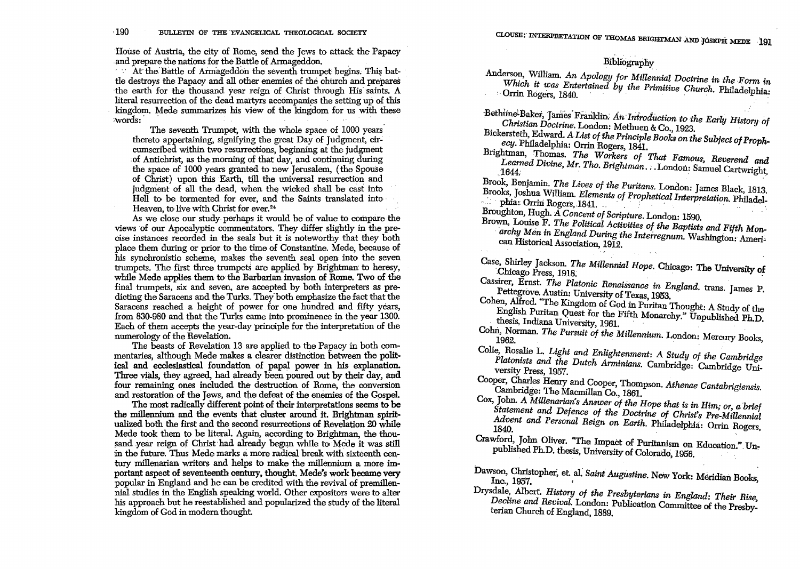House of Austria, the city of Rome, send the Jews to attack the Papacy BOLLETIN OF THE EVANGELICAL THEOLOGICAL SOCIETY<br>House of Austria, the city of Rome, send the Jews to attack the Pa<br>and prepare the nations for the Battle of Armageddon.<br>'... At the Battle of Armageddon the seventh trumpet

 $\overline{a}$ . At the Battle of Armageddon the seventh trumpet begins. This battle destroys the Papacy and all other enemies of the church and prepares the earth for the thousand year reign of Christ through His saints. A literal resurrection of the dead martyrs accompanies the setting up of this kingdom. Mede summarizes his view of the kingdom for us with these House of Austria, the city of Kome, send the Jews to attack the Papacy<br>and prepare the nations for the Battle of Armageddon.<br>At the Battle of Armageddon the seventh trumpet begins. This bat-<br>tle destroys the Papacy and all

The seventh Trumpet, with the whole space of 1000 years thereto appertaining, signifying the great Day of Judgment, circumscribed within two resurrections, beginning at the judgment of Antichrist, as the morning of that day, and continuing during the space of 1000 years granted to new Jerusalem, (the Spouse of Christ) upon this Earth, till the universal resurrection and judgment of all the dead, when the wicked shall be cast into Hell to be tormented for ever, and the Saints translated mto Heaven, to live with Christ for ever.<sup>24</sup>

As we close our study perhaps it would be of value to compare the views of our Apocalyptic commentators. They differ slightly in the precise instances recorded in the seals but it is noteworthy that they both place them during or prior to the time of Constantine. Mede, because of his synchronistic scheme, makes the seventh seal open into the seven trumpets. The first three trumpets are applied by Brightman to heresy, while Mede applies them to the Barbarian invasion of Rome. Two of the final trumpets, six and seven, are accepted by both interpreters as predicting the Saracens and the Turks. They'both emphasize the fact that the Saracens reached a height of power for one hundred and fifty years, from 830-980 and that the Turks came into prominence in the year 1300. Each of them accepts the year-day principle for the interpretation of the numerology of the Revelation. .

The beasts of Revelation 13 are applied to the Papacy in both commentaries, although Mede makes a clearer distinction between the political and ecclesiastical foundation of papal power in his explanation. Three vials, they agreed, had already been poured out by their day, and four remaining ones included the destruction of Rome, the conversion and restoration of the Jews, and the defeat of the enemies of the Gospel.

The most radically different point of their interpretations seems to be. the millennium and the events that cluster around it. Brightman spiritualized both the first and the second resurrections of Revelation 20 while Mede took them to be literal. Again, according to Brightman, the thousand year reign of Christ had already begun while to Mede it was still in the future. Thus Mede marks a more radical break with sixteenth century millenarian writers and helps to make the millennum a more important aspect of seventeenth century, thought. Mede's work became very popular in England and he can be credited with the revival of premillennial studies in the English speaking world. Other expositors were to alter his approach but he reestablished and popularized the study of the literal kingdom of God in modem thought.

## Bibliography

Anderson, William. *An Apology for Millennial Doctrine in the* Form *in Which it was Entertained by the Primitive Church. Philadelphia:*  $\overline{C}$ . Philadelphia:

Bethiine<sup>l</sup> Baker, James Franklin. An Introduction to the Early History of *Christian Doctrine.* London: Methuen & Co., 1923. .

Bickersteth, Edward. A *List of the Principle Books on the Subject of Prophecy.* Philadelphia: Orrin Rogers, 1841.

Brightman, Thomas. *The Workers of That Famous, Reverend and* 

Bibliography<br> *Learned Mr. An Apology for Millennial Doctrine in the Form in*<br> *Which it was Entertained by the Primitive Church. Philadelphia:*<br> **Christian Doctrine.** London: Methuro & Co., 1923.<br> *Christian Doctrine.* Lo Brook, Benjamin. *The Lives of the Puritans.* London: James Black, 1813. ~rooks, Joshua William. *Elements of Prophetical Interpretation.* Philadel- Learned Divine, Mr. Tho. Brightman... London: Samuel Cartwright, 1644.<br>1644.<br>Brook, Benjamin. The Lives of the Puritans. London: Samuel Cartwright,<br>Brooks, Joshua William. Elements of Prophetical Interpretation. Philadel-<br>

Broughton, Hugh. *A Concent of Scripture.* London: 1590.

- Brown, LOuise F. *The Political Activities of the Baptists and Fifth Mon* archy Men in England During the Interregnum. Washington: American Historical Association, 1912.
	-

Uase, Shirley Jackson. *The Millennial Hope*. Chicago: The University of Chicago Press, 1918.

Cassirer, Ernst. *The Platonic Renaissance in England*. trans. James P. Pettegrove. Austin: University of Texas, 1953.

Cohen, Alfred. "The Kingdom of God in Puritan Thought: A Study of the English Puritan Quest for the Fifth Monarchy." Unpublished Ph.D. thesis, Indiana University, 1961. .

Cohn, Norman. *The Pursuit of the Millennium*. London: Mercury Books, 1962.

- Colie, Rosalie L. *Light and Enlightenment: A Study of the Cambridge Platonists and the Dutch Arminians.* Cambridge: Cambridge University Press, 1957.
- Cooper, Charles Henry and Cooper, Thompson. *Athenae Cantabrigiensis.* Cambridge: The Macmillan Co., 1861.
- Cox, John. *A Millenarian's Answer of the Hope that is in Him; or, a brief Statement and Defence of the Doctrine of Christ's Pre-Millennial* Advent and Personal Reign on Earth. Philadelphia: Orrin Rogers,
- Crawford, John Oliver. "The Impact of Puritanism on Education." Unpublished Ph.D. thesis, University of Colorado, 1956.
- Dawson, Christopher, et. al. *Saint Augustine*. New York: Meridian Books, Inc., 1957.

Drysdale, Albert. *History of the Presbyterians in England: Their Rise, Decline and Revival.* London: Publication Committee of the Presby-terian Church of England, 1889.